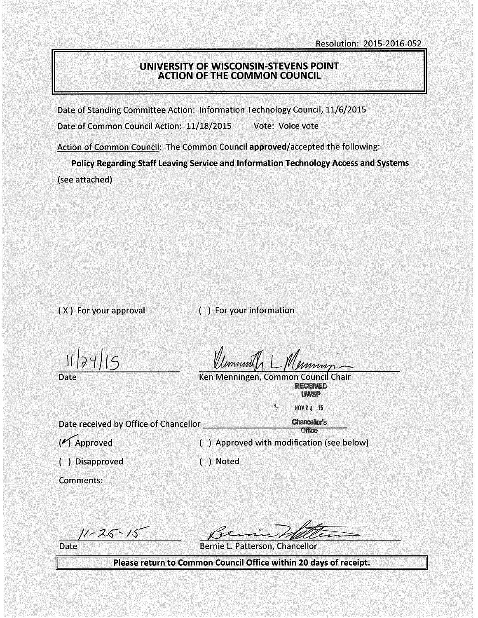## UNIVERSITY OF WISCONSIN-STEVENS POINT ACTION OF THE COMMON COUNCIL

Date of Standing Committee Action: Information Technology Council, 11/6/2015

Date of Common Council Action: 11/18/2015 Vote: Voice vote

Action of Common Council: The Common Council approved/accepted the following:

Policy Regarding Staff Leaving Service and Information Technology Access and Systems (see attached)

( X ) For your approval ( ) For your information

 $11(0)(1)$ 

Date

Ken Menningen, Common Council Chair **RECENED UNISP** 

۹,

Date received by Office of Chancellor \_\_\_\_\_\_\_\_\_ ....,..,.. \_\_ \_

( $\sqrt{\phantom{a}}$ Approved ) Approved with modification (see below)

Comments:

( ) Disapproved ) Noted

 $11 - 25 - 15$ 

Date Bernie L. Patterson, Chancellor

Please return to Common Council Office within 20 days of receipt.